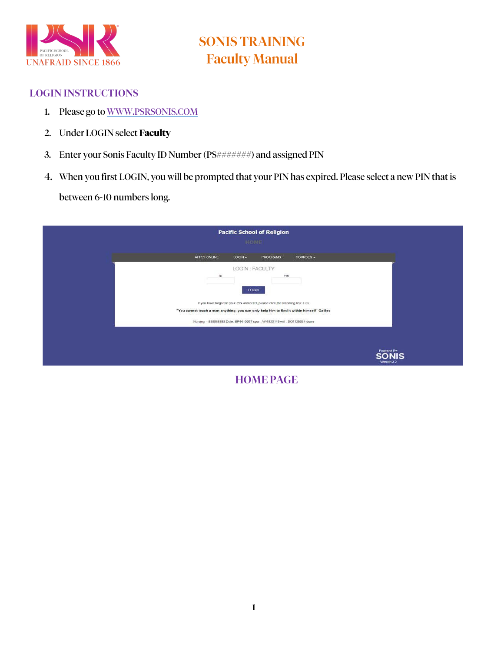

#### LOGIN INSTRUCTIONS

- 1. Please go to [WWW.PSRSONIS.COM](http://www.psrsonis.com/)
- 2. Under LOGIN select **Faculty**
- 3. Enter your Sonis Faculty ID Number (PS#######) and assigned PIN
- 4. When you first LOGIN, you will be prompted that your PIN has expired. Please select a new PIN that is

between 6-10 numbers long.

| $LOGIN -$<br>APPLY ONLINE<br>PROGRAMS<br>COURSES -                                                                                                                            |                             |
|-------------------------------------------------------------------------------------------------------------------------------------------------------------------------------|-----------------------------|
| LOGIN : FACULTY<br>$\sf ID$<br>PIN<br><b>LOGIN</b>                                                                                                                            |                             |
| If you have forgotten your PIN and/or ID, please click the following link: Link<br>"You cannot teach a man anything; you can only help him to find it within himself" Galileo |                             |
| Nursing = 888888888 Dale: SP4410267 spar: WI4820149 will: DO1125024 donn                                                                                                      | Powered By:<br><b>SONIS</b> |

HOMEPAGE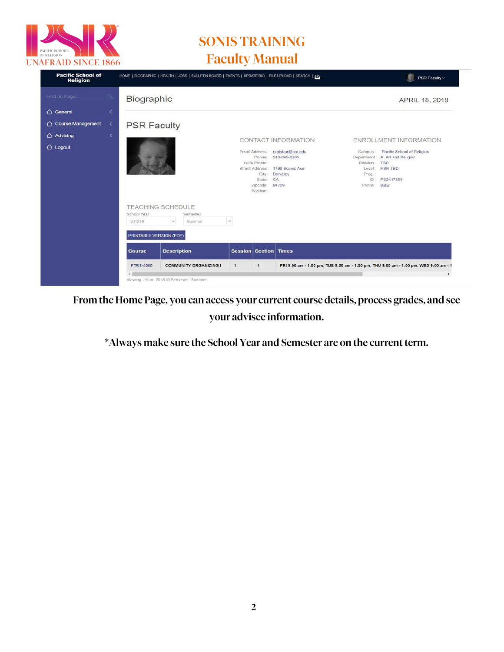

| <b>Pacific School of</b><br><b>Religion</b>     |                                                  | HOME   BIOGRAPHIC   HEALTH   JOBS   BULLETIN BOARD   EVENTS   UPDATE BIO   FILE UPLOAD   SEARCH   ZIS |                              |                                                                                                  |                                                                                                        |                                                                       | PSR Faculty ~                                                                                                             |
|-------------------------------------------------|--------------------------------------------------|-------------------------------------------------------------------------------------------------------|------------------------------|--------------------------------------------------------------------------------------------------|--------------------------------------------------------------------------------------------------------|-----------------------------------------------------------------------|---------------------------------------------------------------------------------------------------------------------------|
| Find on Page                                    | Biographic                                       |                                                                                                       |                              |                                                                                                  |                                                                                                        |                                                                       | APRIL 18, 2018                                                                                                            |
| ← General<br>x<br>← Course Management<br>×<br>× | <b>PSR Faculty</b>                               |                                                                                                       |                              |                                                                                                  |                                                                                                        |                                                                       |                                                                                                                           |
| $\bigcap$ Advising<br>$\bigcirc$ Logout         |                                                  |                                                                                                       |                              | Email Address<br>Phone:<br>Work Phone<br>Street Address<br>City:<br>State<br>Zipcode<br>Position | CONTACT INFORMATION<br>registrar@psr.edu<br>510-849-8285<br>1798 Scenic Ave<br>Berkeley<br>CA<br>94709 | Campus<br>Department<br>Division<br>Level<br>Prog.<br>ID.<br>Profile: | ENROLLMENT INFORMATION<br>Pacific School of Religion<br>A. Art and Religion<br>TBD<br><b>PSR TBD</b><br>PS2417559<br>View |
|                                                 | School Year<br>201819<br>PRINTABLE VERSION (PDF) | <b>TEACHING SCHEDULE</b><br>Semester<br>$\omega$<br>Summer                                            | $\sim$                       |                                                                                                  |                                                                                                        |                                                                       |                                                                                                                           |
|                                                 | <b>Course</b>                                    | <b>Description</b>                                                                                    | <b>Session Section Times</b> |                                                                                                  |                                                                                                        |                                                                       |                                                                                                                           |
|                                                 | <b>FTRS-4500</b>                                 | <b>COMMUNITY ORGANIZING I</b><br>Viewing - Year : 201819 Semester: Summer                             | $\mathbf{1}$                 | $\mathbf{1}$                                                                                     |                                                                                                        |                                                                       | FRI 9:00 am - 1:00 pm, TUE 9:00 am - 1:00 pm, THU 9:00 am - 1:00 pm, WED 9:00 am - 1<br>٠                                 |

From the Home Page, you can access your current course details, process grades, and see your advisee information.

\*Always make sure the School Year and Semester are on the current term.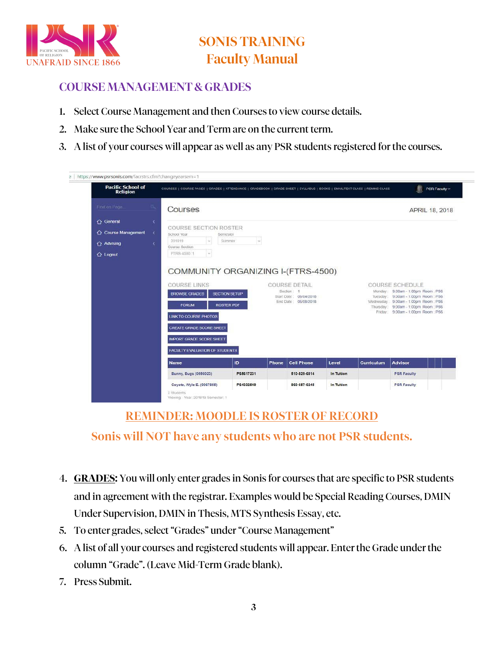

#### COURSE MANAGEMENT & GRADES

- 1. Select Course Management and then Courses to view course details.
- 2. Make sure the School Year and Term are on the current term.
- 3. A list of your courses will appear as well as any PSR students registered forthe courses.

| <b>Pacific School of</b><br><b>Religion</b> | COURSES   COURSE PAGES   GRADES   ATTENDANCE   GRADEBOOK   GRADE SHEET   SYLLABUS   BOOKS   EMAIL/TEXT CLASS   REMIND CLASS                                                                         |                                           |       |                                                                                      |            |            | 都<br>PSR Faculty ~                                                                                                                                                                                            |
|---------------------------------------------|-----------------------------------------------------------------------------------------------------------------------------------------------------------------------------------------------------|-------------------------------------------|-------|--------------------------------------------------------------------------------------|------------|------------|---------------------------------------------------------------------------------------------------------------------------------------------------------------------------------------------------------------|
| Find on Page                                | Courses                                                                                                                                                                                             |                                           |       |                                                                                      |            |            | APRIL 18, 2018                                                                                                                                                                                                |
| <b>△</b> General<br>×                       |                                                                                                                                                                                                     |                                           |       |                                                                                      |            |            |                                                                                                                                                                                                               |
| ○ Course Management<br>×                    | <b>COURSE SECTION ROSTER</b><br>School Year                                                                                                                                                         | Semester                                  |       |                                                                                      |            |            |                                                                                                                                                                                                               |
| ← Advising<br>ı                             | $\omega$<br>201819<br>Course Section                                                                                                                                                                | Summer<br>$\sim$                          |       |                                                                                      |            |            |                                                                                                                                                                                                               |
| <b>△</b> Logout                             | $\omega$<br>FTRS-4500 1                                                                                                                                                                             |                                           |       |                                                                                      |            |            |                                                                                                                                                                                                               |
|                                             | <b>COURSE LINKS</b><br><b>BROWSE GRADES</b><br><b>FORUM</b><br><b>LINK TO COURSE PHOTOS</b><br>CREATE GRADE SCORE SHEET<br><b>IMPORT GRADE SCORE SHEET</b><br><b>FACULTY EVALUATION OF STUDENTS</b> | <b>SECTION SETUP</b><br><b>ROSTER PDF</b> |       | <b>COURSE DETAIL</b><br>Section: 1<br>Start Date: 06/04/2018<br>End Date: 06/08/2018 |            | Tuesday:   | <b>COURSE SCHEDULE</b><br>Monday: 9:00am - 1:00pm Room. PS6<br>9:00am - 1:00pm Room : PS6<br>Wednesday 9:00am - 1:00pm Room : PS6<br>Thursday: 9:00am - 1:00pm Room: PS6<br>Friday: 9.00am - 1.00pm Room: PS6 |
|                                             | <b>Name</b>                                                                                                                                                                                         | ID.                                       | Phone | <b>Cell Phone</b>                                                                    | Level      | Curriculum | <b>Advisor</b>                                                                                                                                                                                                |
|                                             | Bunny, Bugs (0556023)                                                                                                                                                                               | PS5617231                                 |       | 510-829-6814                                                                         | In Tuition |            | <b>PSR Faculty</b>                                                                                                                                                                                            |
|                                             |                                                                                                                                                                                                     |                                           |       | 860-657-6245                                                                         |            |            | <b>PSR Faculty</b>                                                                                                                                                                                            |

#### REMINDER: MOODLE IS ROSTER OF RECORD

#### Sonis will NOT have any students who are not PSR students.

- 4. **GRADES**: You will only enter grades in Sonis for courses that are specific to PSR students and in agreement with the registrar. Examples would be Special Reading Courses, DMIN Under Supervision, DMIN in Thesis, MTS Synthesis Essay, etc.
- 5. To enter grades, select"Grades" under"Course Management"
- 6. A list of all your courses and registered students will appear. Enterthe Grade underthe column "Grade". (Leave Mid-Term Grade blank).
- 7. Press Submit.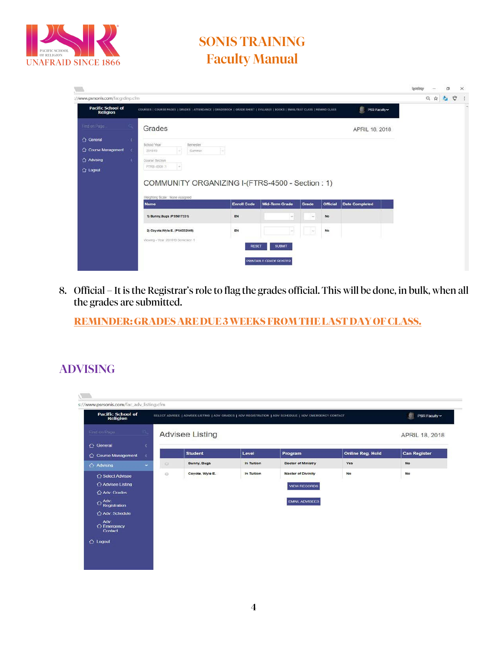

|                                   |                                                                                                                            |                    |                                                                     |            |                 |                       | <b>Institute</b> |     | $\Box$ |   | ×. |
|-----------------------------------|----------------------------------------------------------------------------------------------------------------------------|--------------------|---------------------------------------------------------------------|------------|-----------------|-----------------------|------------------|-----|--------|---|----|
| ://www.psrsonis.com/facgrdinp.cfm |                                                                                                                            |                    |                                                                     |            |                 |                       |                  | Q ☆ | 25     | Ù | ÷  |
| Pacific School of<br>Religion     | COURSES   COURSE PAGES   GRADES   ATTENDANCE   GRADEBOOK   GRADE SHEET   SYLLARUS   ROOKS   EMAL/TEXT CLASS   REMIND CLASS |                    |                                                                     |            |                 | Ø.<br>PSR Faculty ~   |                  |     |        |   |    |
| Find on Page                      | Grades                                                                                                                     |                    |                                                                     |            |                 | APRIL 18, 2018        |                  |     |        |   |    |
| △ General<br>×                    |                                                                                                                            |                    |                                                                     |            |                 |                       |                  |     |        |   |    |
| Course Management<br>×            | School Year<br>Sernester<br>$\left  \frac{1}{2} \right $<br>Summer.<br>201819                                              | Ħ                  |                                                                     |            |                 |                       |                  |     |        |   |    |
| △ Advising<br>x                   | Course Section                                                                                                             |                    |                                                                     |            |                 |                       |                  |     |        |   |    |
| $\Omega$ Logout                   | H<br>FTRS-4500.1                                                                                                           |                    |                                                                     |            |                 |                       |                  |     |        |   |    |
|                                   | COMMUNITY ORGANIZING I-(FTRS-4500 - Section: 1)<br>Weighting Scale: None Assigned                                          |                    |                                                                     |            |                 |                       |                  |     |        |   |    |
|                                   | <b>Name</b>                                                                                                                | <b>Enroll Code</b> | <b>Mid-Term Grade</b>                                               | Grade      | <b>Official</b> | <b>Date Completed</b> |                  |     |        |   |    |
|                                   | 1) Bunny, Bugs (PS5617231)                                                                                                 | EN                 | $\frac{1}{2} \left( \frac{1}{2} \right) \left( \frac{1}{2} \right)$ | $\sim$     | No              |                       |                  |     |        |   |    |
|                                   | 2) Coyote Wyle E. (PS4332549)                                                                                              | EN                 | $\sim$                                                              | $ \times $ | No              |                       |                  |     |        |   |    |
|                                   | Viewing - Year : 201819 Semester 1                                                                                         | <b>RESET</b>       | <b>SUBMIT</b>                                                       |            |                 |                       |                  |     |        |   |    |
|                                   |                                                                                                                            |                    | PRINTABLE GRADE ROSTER                                              |            |                 |                       |                  |     |        |   |    |

8. Official – It is the Registrar's role to flag the grades official. This will be done, in bulk, when all the grades are submitted.

**REMINDER:GRADES AREDUE 3 WEEKS FROM THE LAST DAYOFCLASS.**

#### ADVISING

| <b>Pacific School of</b><br><b>Religion</b>                                                                                                                   | SELECT ADVISEE   ADVISEE LISTING   ADV. GRADES   ADV. REGISTRATION   ADV. SCHEDULE   ADV. EMERGENCY CONTACT | PSR Faculty $\sim$     |            |                                                                           |                         |                     |
|---------------------------------------------------------------------------------------------------------------------------------------------------------------|-------------------------------------------------------------------------------------------------------------|------------------------|------------|---------------------------------------------------------------------------|-------------------------|---------------------|
| Find on Page.                                                                                                                                                 |                                                                                                             | <b>Advisee Listing</b> |            |                                                                           |                         | APRIL 18, 2018      |
| General<br>x<br>○ Course Management<br>ä.                                                                                                                     |                                                                                                             | <b>Student</b>         | Level      | Program                                                                   | <b>Online Reg. Hold</b> | <b>Can Register</b> |
| $\overline{\phantom{a}}$<br>← Advising                                                                                                                        | $\circ$                                                                                                     | Bunny, Bugs            | In Tuition | Doctor of Ministry                                                        | Yes                     | No                  |
| ← Select Advisee<br>Advisee Listing<br>Adv: Grades<br>$\triangle$ Adv.<br>Registration<br>Adv: Schedule<br>Adv<br>$\bigcirc$ Emergency<br>Contact<br>△ Logout | $\odot$                                                                                                     | Coyote, Wyle E.        | In Tuition | <b>Master of Divinity</b><br><b>VIEW RECORDS</b><br><b>EMAIL ADVISEES</b> | No                      | No                  |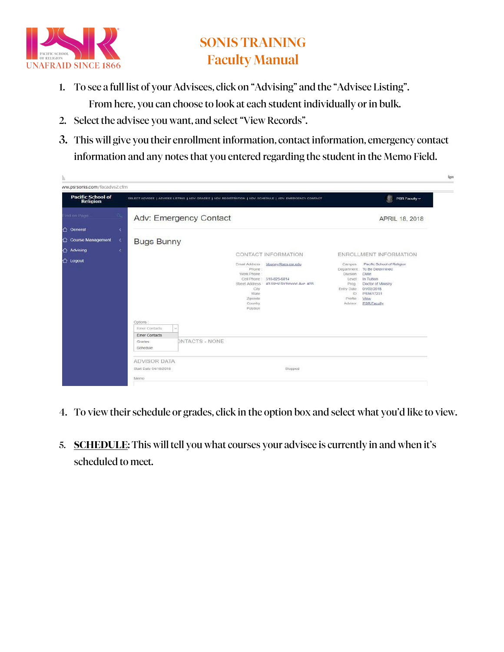

- 1. To see a full list of your Advisees, click on "Advising" and the "Advisee Listing". From here, you can choose to look at each student individually or in bulk.
- 2. Select the advisee you want, and select"View Records".
- 3. This will give you their enrollment information, contact information, emergency contact information and any notes that you entered regarding the student in the Memo Field.

| ww.psrsonis.com/facadvs2.cfm                |                                                                                                             |                                                                                                                                                                                          |                                                                                             |                                                                                                                                                                         |
|---------------------------------------------|-------------------------------------------------------------------------------------------------------------|------------------------------------------------------------------------------------------------------------------------------------------------------------------------------------------|---------------------------------------------------------------------------------------------|-------------------------------------------------------------------------------------------------------------------------------------------------------------------------|
| <b>Pacific School of</b><br><b>Religion</b> | SELECT ADVISEE   ADVISEE LISTING   ADV. GRADES   ADV. REGISTRATION   ADV. SCHEDULE   ADV. EMERGENCY CONTACT |                                                                                                                                                                                          |                                                                                             | æ<br>PSR Faculty ~                                                                                                                                                      |
| Thơ ôn Page                                 | Adv: Emergency Contact                                                                                      |                                                                                                                                                                                          |                                                                                             | APRIL 18, 2018                                                                                                                                                          |
| △ General<br>×                              |                                                                                                             |                                                                                                                                                                                          |                                                                                             |                                                                                                                                                                         |
| △ Course Management<br>×                    | <b>Bugs Bunny</b>                                                                                           |                                                                                                                                                                                          |                                                                                             |                                                                                                                                                                         |
| Advising<br>¢                               |                                                                                                             | CONTACT INFORMATION                                                                                                                                                                      |                                                                                             | ENROLLMENT INFORMATION                                                                                                                                                  |
| $\bigcirc$ Logout                           | Options<br>Emer Contacts<br><b>Sale</b>                                                                     | Email Address<br>bbunny@ses.psr.edu<br>Phone<br>Work Phone<br>Cell Phone : 510-829-6814<br>Street Address: #3 West Richmond Ave. #28<br>City<br>State<br>Zipcode<br>Country.<br>Position | Campus<br>Division<br>Level:<br>Prog.<br>Entry Date<br><b>ID</b> :<br>Profile :-<br>Advisor | Pacific School of Religion<br>Department : To Be Determined<br><b>DMIn</b><br>In Tuition<br>Doctor of Ministry<br>01/02/2018<br>PS5617231<br>View<br><b>PSR Faculty</b> |
|                                             | Emer Contacts<br><b>DNTACTS - NONE</b><br>Grades<br>Schedule                                                |                                                                                                                                                                                          |                                                                                             |                                                                                                                                                                         |
|                                             | <b>ADVISOR DATA</b><br>Start Date 04/18/2018                                                                | Stopped                                                                                                                                                                                  |                                                                                             |                                                                                                                                                                         |
|                                             | Merry                                                                                                       |                                                                                                                                                                                          |                                                                                             |                                                                                                                                                                         |

- 4. To view their schedule or grades, click in the option box and select what you'd like to view.
- 5. **SCHEDULE**: This will tell you what courses your advisee is currently in and when it's scheduled to meet.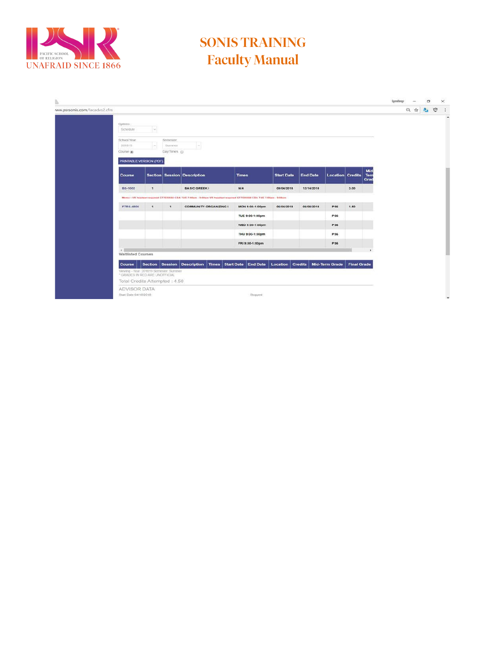

|                                   |                               |                                                                                                                                                                                                                                                                                                                                                                                                                                                                                                                                                                                                                                                                                                                                                                                                                                                                         |         |  |  | figurationary |      | α |   |
|-----------------------------------|-------------------------------|-------------------------------------------------------------------------------------------------------------------------------------------------------------------------------------------------------------------------------------------------------------------------------------------------------------------------------------------------------------------------------------------------------------------------------------------------------------------------------------------------------------------------------------------------------------------------------------------------------------------------------------------------------------------------------------------------------------------------------------------------------------------------------------------------------------------------------------------------------------------------|---------|--|--|---------------|------|---|---|
| ww.psrsonis.com/facadvs2.cfm      |                               |                                                                                                                                                                                                                                                                                                                                                                                                                                                                                                                                                                                                                                                                                                                                                                                                                                                                         |         |  |  |               | 只☆ 名 |   | Ū |
| Options.<br>Schedule              | $\sim$                        | Semester<br>$\sim$<br><b>SUITEINST</b><br>$\sim$<br>Day/Times Gi<br>Mid<br><b>Section Session Description</b><br><b>Start Date</b><br><b>End Date</b><br>Tern<br><b>Times</b><br><b>Location Credits</b><br>Grad<br><b>BASIC GREEK I</b><br><b>N/A</b><br>3.00<br>$\mathbf{1}$<br>09/04/2018<br>12/14/2018<br>Memo : VR headset required GT7035556 CDA TUE 7:00am - 9:00am VR headset required GT7036556 CDA TUE 7:00am - 9:00am<br>06/08/2018<br>PS6<br>1.50<br>$\mathbf{1}$<br>$\mathcal{A}$<br><b>COMMUNITY ORGANIZING I</b><br>06/04/2018<br>MON 9:00-1:00pm<br>TUE 9:00-1:00pm<br>PS6<br>WED 9:00-1:00pm<br>PS6<br>THU 9:00-1:00pm<br>PS6<br>PS6<br>FRI 9:00-1:00pm<br>Location Credits Mid-Term Grade<br>Section Session Description Times Start Date End Date<br><b>Final Grade</b><br>Viewing - Year. 201819 Semester, Summer<br>* GRADES IN RED ARE UNOFFICIAL |         |  |  |               |      |   |   |
| School Year<br>201819<br>Course a |                               |                                                                                                                                                                                                                                                                                                                                                                                                                                                                                                                                                                                                                                                                                                                                                                                                                                                                         |         |  |  |               |      |   |   |
|                                   | PRINTABLE VERSION (PDF)       |                                                                                                                                                                                                                                                                                                                                                                                                                                                                                                                                                                                                                                                                                                                                                                                                                                                                         |         |  |  |               |      |   |   |
| Course                            |                               |                                                                                                                                                                                                                                                                                                                                                                                                                                                                                                                                                                                                                                                                                                                                                                                                                                                                         |         |  |  |               |      |   |   |
| BS-1002                           |                               |                                                                                                                                                                                                                                                                                                                                                                                                                                                                                                                                                                                                                                                                                                                                                                                                                                                                         |         |  |  |               |      |   |   |
|                                   |                               |                                                                                                                                                                                                                                                                                                                                                                                                                                                                                                                                                                                                                                                                                                                                                                                                                                                                         |         |  |  |               |      |   |   |
| <b>FTRS-4500</b>                  |                               |                                                                                                                                                                                                                                                                                                                                                                                                                                                                                                                                                                                                                                                                                                                                                                                                                                                                         |         |  |  |               |      |   |   |
|                                   |                               |                                                                                                                                                                                                                                                                                                                                                                                                                                                                                                                                                                                                                                                                                                                                                                                                                                                                         |         |  |  |               |      |   |   |
|                                   |                               |                                                                                                                                                                                                                                                                                                                                                                                                                                                                                                                                                                                                                                                                                                                                                                                                                                                                         |         |  |  |               |      |   |   |
|                                   |                               |                                                                                                                                                                                                                                                                                                                                                                                                                                                                                                                                                                                                                                                                                                                                                                                                                                                                         |         |  |  |               |      |   |   |
|                                   |                               |                                                                                                                                                                                                                                                                                                                                                                                                                                                                                                                                                                                                                                                                                                                                                                                                                                                                         |         |  |  |               |      |   |   |
| $\sim$                            |                               |                                                                                                                                                                                                                                                                                                                                                                                                                                                                                                                                                                                                                                                                                                                                                                                                                                                                         |         |  |  |               |      |   |   |
|                                   | <b>Waltlisted Courses</b>     |                                                                                                                                                                                                                                                                                                                                                                                                                                                                                                                                                                                                                                                                                                                                                                                                                                                                         |         |  |  |               |      |   |   |
| Course                            | Total Credits Attempted: 4.50 |                                                                                                                                                                                                                                                                                                                                                                                                                                                                                                                                                                                                                                                                                                                                                                                                                                                                         |         |  |  |               |      |   |   |
|                                   | <b>ADVISOR DATA</b>           |                                                                                                                                                                                                                                                                                                                                                                                                                                                                                                                                                                                                                                                                                                                                                                                                                                                                         |         |  |  |               |      |   |   |
| Start Date 64/18/2018             |                               |                                                                                                                                                                                                                                                                                                                                                                                                                                                                                                                                                                                                                                                                                                                                                                                                                                                                         | Stopped |  |  |               |      |   |   |